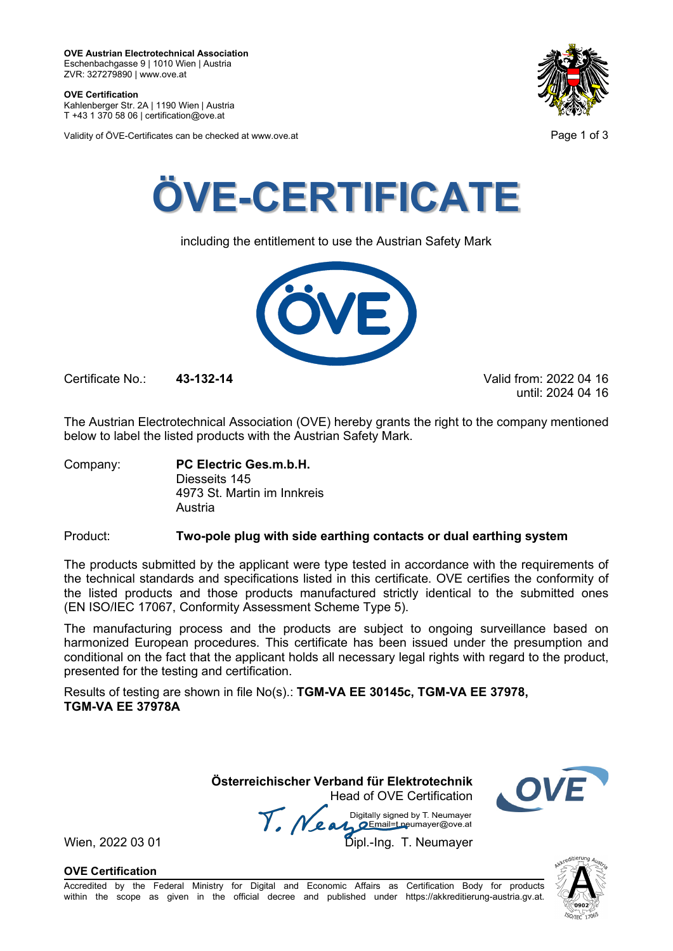**OVE Certification** Kahlenberger Str. 2A | 1190 Wien | Austria

T +43 1 370 58 06 | certification@ove.at

Validity of ÖVE-Certificates can be checked at www.ove.at **Page 1 of 3** Page 1 of 3





including the entitlement to use the Austrian Safety Mark



Certificate No.: **43-132-14** Valid from: 2022 04 16

until: 2024 04 16

The Austrian Electrotechnical Association (OVE) hereby grants the right to the company mentioned below to label the listed products with the Austrian Safety Mark.

Company: **PC Electric Ges.m.b.H.** Diesseits 145 4973 St. Martin im Innkreis Austria

# Product: **Two-pole plug with side earthing contacts or dual earthing system**

The products submitted by the applicant were type tested in accordance with the requirements of the technical standards and specifications listed in this certificate. OVE certifies the conformity of the listed products and those products manufactured strictly identical to the submitted ones (EN ISO/IEC 17067, Conformity Assessment Scheme Type 5).

The manufacturing process and the products are subject to ongoing surveillance based on harmonized European procedures. This certificate has been issued under the presumption and conditional on the fact that the applicant holds all necessary legal rights with regard to the product, presented for the testing and certification.

Results of testing are shown in file No(s).: **TGM-VA EE 30145c, TGM-VA EE 37978, TGM-VA EE 37978A**

> **Österreichischer Verband für Elektrotechnik** Head of OVE Certification



Wien, 2022 03 01 **1918**<br>Wien, 2022 03 01 **Dipl.-Ing. T. Neumayer** 

**OVE Certification**

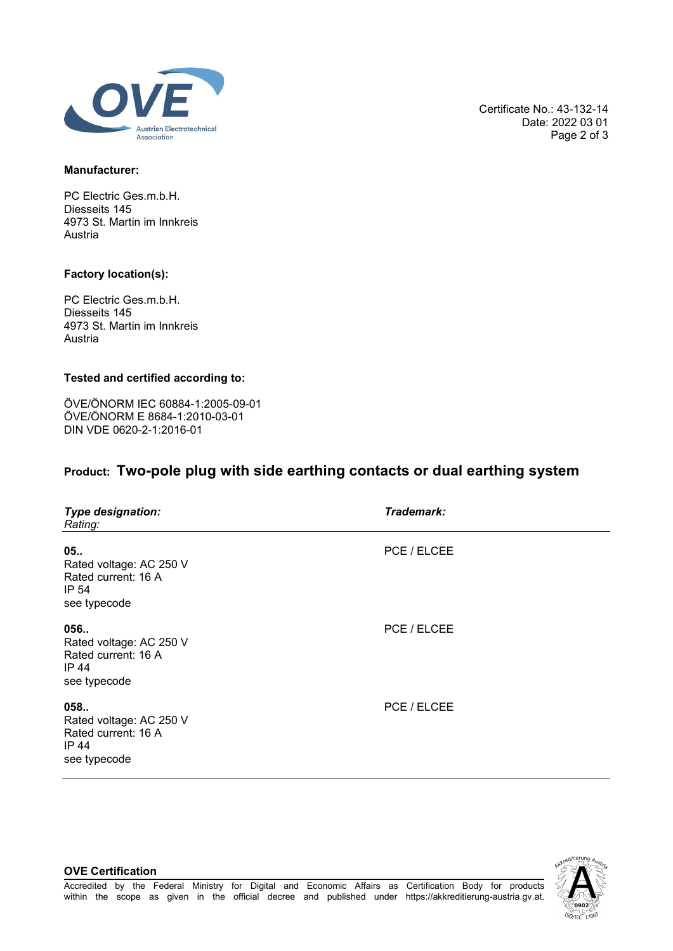

Certificate No.: 43-132-14 Date: 2022 03 01 Page 2 of 3

### **Manufacturer:**

PC Electric Ges.m.b.H. Diesseits 145 4973 St. Martin im Innkreis Austria

## **Factory location(s):**

**OVE Certification**

PC Electric Ges.m.b.H. Diesseits 145 4973 St. Martin im Innkreis Austria

#### **Tested and certified according to:**

ÖVE/ÖNORM IEC 60884-1:2005-09-01 ÖVE/ÖNORM E 8684-1:2010-03-01 DIN VDE 0620-2-1:2016-01

# **Product: Two-pole plug with side earthing contacts or dual earthing system**

| <b>Type designation:</b><br>Rating:                                            | Trademark:  |
|--------------------------------------------------------------------------------|-------------|
| 05<br>Rated voltage: AC 250 V<br>Rated current: 16 A<br>IP 54<br>see typecode  | PCE / ELCEE |
| 056<br>Rated voltage: AC 250 V<br>Rated current: 16 A<br>IP 44<br>see typecode | PCE / ELCEE |
| 058<br>Rated voltage: AC 250 V<br>Rated current: 16 A<br>IP 44<br>see typecode | PCE / ELCEE |